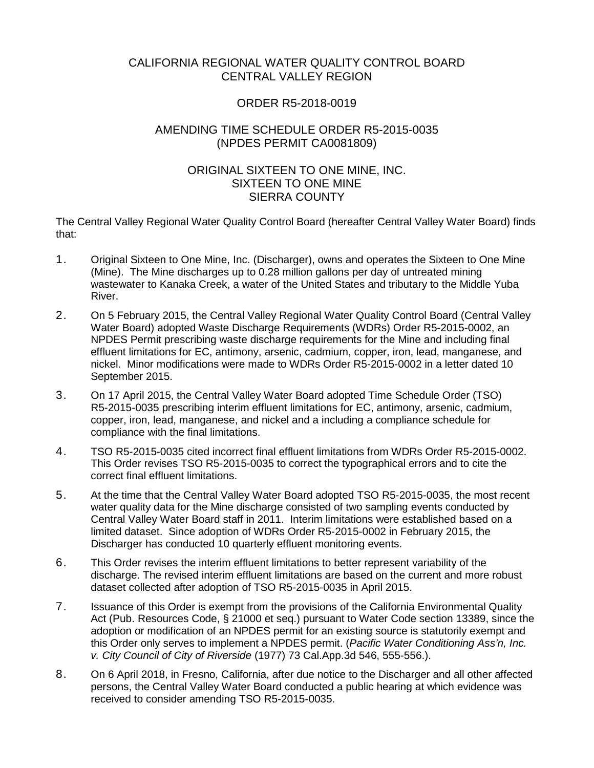# CALIFORNIA REGIONAL WATER QUALITY CONTROL BOARD CENTRAL VALLEY REGION

# ORDER R5-2018-0019

# AMENDING TIME SCHEDULE ORDER R5-2015-0035 (NPDES PERMIT CA0081809)

# ORIGINAL SIXTEEN TO ONE MINE, INC. SIXTEEN TO ONE MINE SIERRA COUNTY

The Central Valley Regional Water Quality Control Board (hereafter Central Valley Water Board) finds that:

- 1. Original Sixteen to One Mine, Inc. (Discharger), owns and operates the Sixteen to One Mine (Mine). The Mine discharges up to 0.28 million gallons per day of untreated mining wastewater to Kanaka Creek, a water of the United States and tributary to the Middle Yuba River.
- 2. On 5 February 2015, the Central Valley Regional Water Quality Control Board (Central Valley Water Board) adopted Waste Discharge Requirements (WDRs) Order R5-2015-0002, an NPDES Permit prescribing waste discharge requirements for the Mine and including final effluent limitations for EC, antimony, arsenic, cadmium, copper, iron, lead, manganese, and nickel. Minor modifications were made to WDRs Order R5-2015-0002 in a letter dated 10 September 2015.
- 3. On 17 April 2015, the Central Valley Water Board adopted Time Schedule Order (TSO) R5-2015-0035 prescribing interim effluent limitations for EC, antimony, arsenic, cadmium, copper, iron, lead, manganese, and nickel and a including a compliance schedule for compliance with the final limitations.
- 4. TSO R5-2015-0035 cited incorrect final effluent limitations from WDRs Order R5-2015-0002. This Order revises TSO R5-2015-0035 to correct the typographical errors and to cite the correct final effluent limitations.
- 5. At the time that the Central Valley Water Board adopted TSO R5-2015-0035, the most recent water quality data for the Mine discharge consisted of two sampling events conducted by Central Valley Water Board staff in 2011. Interim limitations were established based on a limited dataset. Since adoption of WDRs Order R5-2015-0002 in February 2015, the Discharger has conducted 10 quarterly effluent monitoring events.
- 6. This Order revises the interim effluent limitations to better represent variability of the discharge. The revised interim effluent limitations are based on the current and more robust dataset collected after adoption of TSO R5-2015-0035 in April 2015.
- 7. Issuance of this Order is exempt from the provisions of the California Environmental Quality Act (Pub. Resources Code, § 21000 et seq.) pursuant to Water Code section 13389, since the adoption or modification of an NPDES permit for an existing source is statutorily exempt and this Order only serves to implement a NPDES permit. (*Pacific Water Conditioning Ass'n, Inc. v. City Council of City of Riverside* (1977) 73 Cal.App.3d 546, 555-556.).
- 8. On 6 April 2018, in Fresno, California, after due notice to the Discharger and all other affected persons, the Central Valley Water Board conducted a public hearing at which evidence was received to consider amending TSO R5-2015-0035.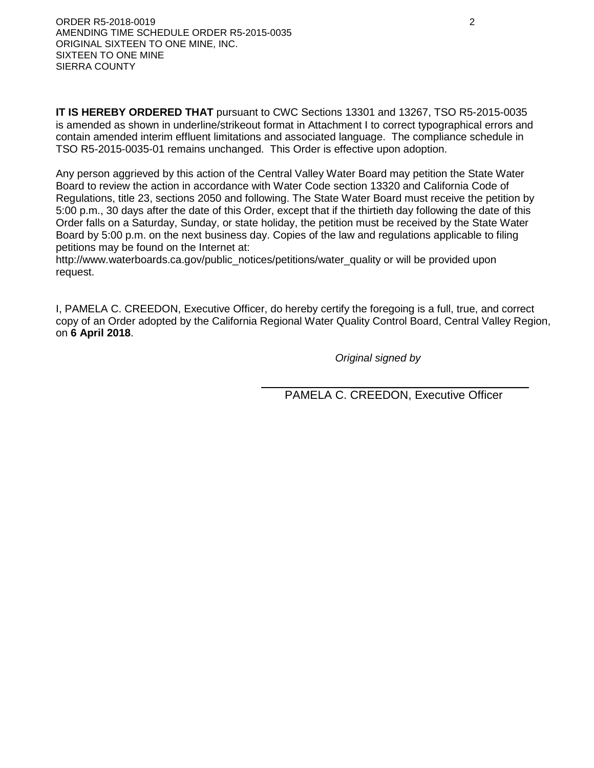**IT IS HEREBY ORDERED THAT** pursuant to CWC Sections 13301 and 13267, TSO R5-2015-0035 is amended as shown in underline/strikeout format in Attachment I to correct typographical errors and contain amended interim effluent limitations and associated language. The compliance schedule in TSO R5-2015-0035-01 remains unchanged. This Order is effective upon adoption.

Any person aggrieved by this action of the Central Valley Water Board may petition the State Water Board to review the action in accordance with Water Code section 13320 and California Code of Regulations, title 23, sections 2050 and following. The State Water Board must receive the petition by 5:00 p.m., 30 days after the date of this Order, except that if the thirtieth day following the date of this Order falls on a Saturday, Sunday, or state holiday, the petition must be received by the State Water Board by 5:00 p.m. on the next business day. Copies of the law and regulations applicable to filing petitions may be found on the Internet at:

http://www.waterboards.ca.gov/public\_notices/petitions/water\_quality or will be provided upon request.

I, PAMELA C. CREEDON, Executive Officer, do hereby certify the foregoing is a full, true, and correct copy of an Order adopted by the California Regional Water Quality Control Board, Central Valley Region, on **6 April 2018**.

*Original signed by*

 $\mathcal{L}_\mathcal{L}$  , and the contract of the contract of the contract of the contract of the contract of the contract of the contract of the contract of the contract of the contract of the contract of the contract of the cont PAMELA C. CREEDON, Executive Officer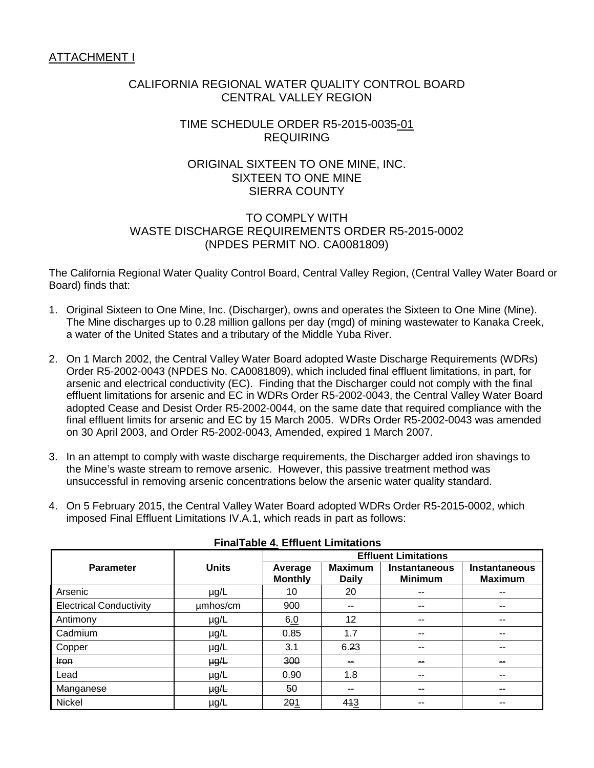# CALIFORNIA REGIONAL WATER QUALITY CONTROL BOARD CENTRAL VALLEY REGION

# TIME SCHEDULE ORDER R5-2015-0035-01 REQUIRING

# ORIGINAL SIXTEEN TO ONE MINE, INC. SIXTEEN TO ONE MINE SIERRA COUNTY

## TO COMPLY WITH WASTE DISCHARGE REQUIREMENTS ORDER R5-2015-0002 (NPDES PERMIT NO. CA0081809)

The California Regional Water Quality Control Board, Central Valley Region, (Central Valley Water Board or Board) finds that:

- 1. Original Sixteen to One Mine, Inc. (Discharger), owns and operates the Sixteen to One Mine (Mine). The Mine discharges up to 0.28 million gallons per day (mgd) of mining wastewater to Kanaka Creek, a water of the United States and a tributary of the Middle Yuba River.
- 2. On 1 March 2002, the Central Valley Water Board adopted Waste Discharge Requirements (WDRs) Order R5-2002-0043 (NPDES No. CA0081809), which included final effluent limitations, in part, for arsenic and electrical conductivity (EC). Finding that the Discharger could not comply with the final effluent limitations for arsenic and EC in WDRs Order R5-2002-0043, the Central Valley Water Board adopted Cease and Desist Order R5-2002-0044, on the same date that required compliance with the final effluent limits for arsenic and EC by 15 March 2005. WDRs Order R5-2002-0043 was amended on 30 April 2003, and Order R5-2002-0043, Amended, expired 1 March 2007.
- 3. In an attempt to comply with waste discharge requirements, the Discharger added iron shavings to the Mine's waste stream to remove arsenic. However, this passive treatment method was unsuccessful in removing arsenic concentrations below the arsenic water quality standard.
- 4. On 5 February 2015, the Central Valley Water Board adopted WDRs Order R5-2015-0002, which imposed Final Effluent Limitations IV.A.1, which reads in part as follows:

|                         |              | <b>Effluent Limitations</b> |                                |                                        |                                        |  |  |
|-------------------------|--------------|-----------------------------|--------------------------------|----------------------------------------|----------------------------------------|--|--|
| <b>Parameter</b>        | <b>Units</b> | Average<br><b>Monthly</b>   | <b>Maximum</b><br><b>Daily</b> | <b>Instantaneous</b><br><b>Minimum</b> | <b>Instantaneous</b><br><b>Maximum</b> |  |  |
| Arsenic                 | $\mu$ g/L    | 10                          | 20                             | --                                     | $- -$                                  |  |  |
| Electrical Conductivity | umhos/cm     | 900                         | $-$                            | $\sim$                                 | --                                     |  |  |
| Antimony                | $\mu$ g/L    | 6.0                         | 12                             | --                                     | $- -$                                  |  |  |
| Cadmium                 | $\mu$ g/L    | 0.85                        | 1.7                            | --                                     | $- -$                                  |  |  |
| Copper                  | $\mu$ g/L    | 3.1                         | 6.23                           | --                                     | $- -$                                  |  |  |
| Iron                    | $\mu g/L$    | 300                         | $\sim$                         | $\sim$                                 | $\sim$                                 |  |  |
| Lead                    | $\mu$ g/L    | 0.90                        | 1.8                            | --                                     | $- -$                                  |  |  |
| Manganese               | $\mu g/L$    | 50                          | $\sim$                         | $\sim$                                 | $\sim$                                 |  |  |
| Nickel                  | $\mu$ g/L    | 201                         | 413                            | --                                     | --                                     |  |  |

#### **FinalTable 4. Effluent Limitations**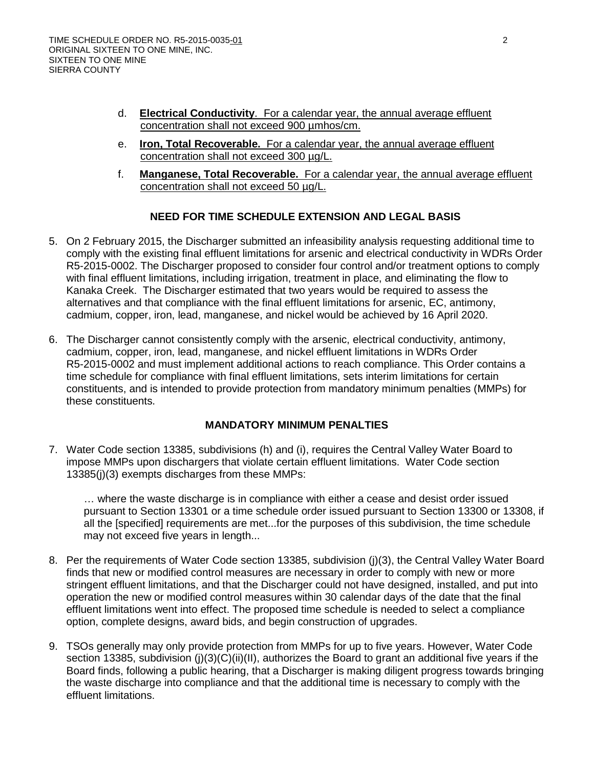- d. **Electrical Conductivity**. For a calendar year, the annual average effluent concentration shall not exceed 900 µmhos/cm.
- e. **Iron, Total Recoverable.** For a calendar year, the annual average effluent concentration shall not exceed 300 µg/L.
- f. **Manganese, Total Recoverable.** For a calendar year, the annual average effluent concentration shall not exceed 50 µg/L.

## **NEED FOR TIME SCHEDULE EXTENSION AND LEGAL BASIS**

- 5. On 2 February 2015, the Discharger submitted an infeasibility analysis requesting additional time to comply with the existing final effluent limitations for arsenic and electrical conductivity in WDRs Order R5-2015-0002. The Discharger proposed to consider four control and/or treatment options to comply with final effluent limitations, including irrigation, treatment in place, and eliminating the flow to Kanaka Creek. The Discharger estimated that two years would be required to assess the alternatives and that compliance with the final effluent limitations for arsenic, EC, antimony, cadmium, copper, iron, lead, manganese, and nickel would be achieved by 16 April 2020.
- 6. The Discharger cannot consistently comply with the arsenic, electrical conductivity, antimony, cadmium, copper, iron, lead, manganese, and nickel effluent limitations in WDRs Order R5-2015-0002 and must implement additional actions to reach compliance. This Order contains a time schedule for compliance with final effluent limitations, sets interim limitations for certain constituents, and is intended to provide protection from mandatory minimum penalties (MMPs) for these constituents.

#### **MANDATORY MINIMUM PENALTIES**

7. Water Code section 13385, subdivisions (h) and (i), requires the Central Valley Water Board to impose MMPs upon dischargers that violate certain effluent limitations. Water Code section 13385(j)(3) exempts discharges from these MMPs:

… where the waste discharge is in compliance with either a cease and desist order issued pursuant to Section 13301 or a time schedule order issued pursuant to Section 13300 or 13308, if all the [specified] requirements are met...for the purposes of this subdivision, the time schedule may not exceed five years in length...

- 8. Per the requirements of Water Code section 13385, subdivision (j)(3), the Central Valley Water Board finds that new or modified control measures are necessary in order to comply with new or more stringent effluent limitations, and that the Discharger could not have designed, installed, and put into operation the new or modified control measures within 30 calendar days of the date that the final effluent limitations went into effect. The proposed time schedule is needed to select a compliance option, complete designs, award bids, and begin construction of upgrades.
- 9. TSOs generally may only provide protection from MMPs for up to five years. However, Water Code section 13385, subdivision (j)(3)(C)(ii)(II), authorizes the Board to grant an additional five years if the Board finds, following a public hearing, that a Discharger is making diligent progress towards bringing the waste discharge into compliance and that the additional time is necessary to comply with the effluent limitations.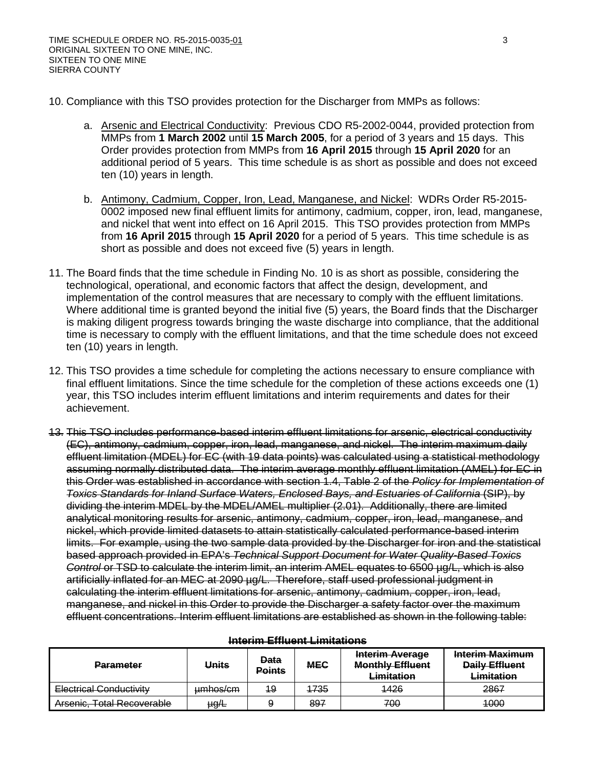- 10. Compliance with this TSO provides protection for the Discharger from MMPs as follows:
	- a. Arsenic and Electrical Conductivity: Previous CDO R5-2002-0044, provided protection from MMPs from **1 March 2002** until **15 March 2005**, for a period of 3 years and 15 days. This Order provides protection from MMPs from **16 April 2015** through **15 April 2020** for an additional period of 5 years. This time schedule is as short as possible and does not exceed ten (10) years in length.
	- b. Antimony, Cadmium, Copper, Iron, Lead, Manganese, and Nickel: WDRs Order R5-2015- 0002 imposed new final effluent limits for antimony, cadmium, copper, iron, lead, manganese, and nickel that went into effect on 16 April 2015. This TSO provides protection from MMPs from **16 April 2015** through **15 April 2020** for a period of 5 years. This time schedule is as short as possible and does not exceed five (5) years in length.
- 11. The Board finds that the time schedule in Finding No. 10 is as short as possible, considering the technological, operational, and economic factors that affect the design, development, and implementation of the control measures that are necessary to comply with the effluent limitations. Where additional time is granted beyond the initial five (5) years, the Board finds that the Discharger is making diligent progress towards bringing the waste discharge into compliance, that the additional time is necessary to comply with the effluent limitations, and that the time schedule does not exceed ten (10) years in length.
- 12. This TSO provides a time schedule for completing the actions necessary to ensure compliance with final effluent limitations. Since the time schedule for the completion of these actions exceeds one (1) year, this TSO includes interim effluent limitations and interim requirements and dates for their achievement.
- 13. This TSO includes performance-based interim effluent limitations for arsenic, electrical conductivity (EC), antimony, cadmium, copper, iron, lead, manganese, and nickel. The interim maximum daily effluent limitation (MDEL) for EC (with 19 data points) was calculated using a statistical methodology assuming normally distributed data. The interim average monthly effluent limitation (AMEL) for EC in this Order was established in accordance with section 1.4, Table 2 of the *Policy for Implementation of Toxics Standards for Inland Surface Waters, Enclosed Bays, and Estuaries of California* (SIP), by dividing the interim MDEL by the MDEL/AMEL multiplier (2.01). Additionally, there are limited analytical monitoring results for arsenic, antimony, cadmium, copper, iron, lead, manganese, and nickel, which provide limited datasets to attain statistically calculated performance-based interim limits. For example, using the two sample data provided by the Discharger for iron and the statistical based approach provided in EPA's *Technical Support Document for Water Quality-Based Toxics Control or TSD to calculate the interim limit, an interim AMEL equates to 6500 µg/L, which is also* artificially inflated for an MEC at 2090 µg/L. Therefore, staff used professional judgment in calculating the interim effluent limitations for arsenic, antimony, cadmium, copper, iron, lead, manganese, and nickel in this Order to provide the Discharger a safety factor over the maximum effluent concentrations. Interim effluent limitations are established as shown in the following table:

| <b>Parameter</b>                                                    | <b>Units</b> | <b>Data</b><br><b>Points</b> | <b>MEC</b> | <b>Interim Average</b><br><b>Monthly Effluent</b><br>Limitation | <b>Interim Maximum</b><br><b>Daily Effluent</b><br>Limitation |  |
|---------------------------------------------------------------------|--------------|------------------------------|------------|-----------------------------------------------------------------|---------------------------------------------------------------|--|
| Electrical Conductivity                                             | umhos/cm     | 19                           | 1735       | 1426                                                            | 2867                                                          |  |
| Areanic Total Recoverable<br><del>Alsollic. Tulai Recoverable</del> | $\mu g/L$    |                              | 897        | 700                                                             | 4000                                                          |  |

#### **Interim Effluent Limitations**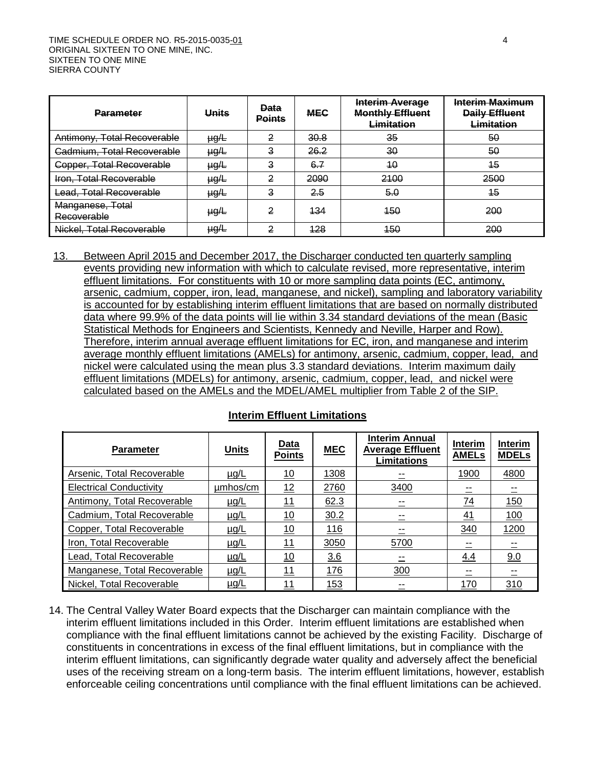| <b>Parameter</b>                | <b>Units</b>    | <b>Data</b><br><b>Points</b> | <b>MEC</b> | Interim Average<br><b>Monthly Effluent</b><br><b>Limitation</b> | Interim Maximum<br><b>Daily Effluent</b><br>Limitation |
|---------------------------------|-----------------|------------------------------|------------|-----------------------------------------------------------------|--------------------------------------------------------|
| Antimony, Total Recoverable     | <del>µg/L</del> | 2                            | 30.8       | 35                                                              | 50                                                     |
| Cadmium, Total Recoverable      | <del>µg/L</del> | 3                            | 26.2       | 30                                                              | 50                                                     |
| Copper, Total Recoverable       | <del>µg/L</del> | 3                            | 6.7        | 40                                                              | 15                                                     |
| Iron, Total Recoverable         | <del>µg/L</del> | 2                            | 2090       | 2100                                                            | 2500                                                   |
| Lead, Total Recoverable         | <del>µg/L</del> | 3                            | 2.5        | 5.0                                                             | 45                                                     |
| Manganese, Total<br>Recoverable | <del>µg/L</del> | 2                            | 434        | 450                                                             | 200                                                    |
| Nickel, Total Recoverable       | <del>µg/L</del> | 2                            | 128        | 450                                                             | 200                                                    |

13. Between April 2015 and December 2017, the Discharger conducted ten quarterly sampling events providing new information with which to calculate revised, more representative, interim effluent limitations. For constituents with 10 or more sampling data points (EC, antimony, arsenic, cadmium, copper, iron, lead, manganese, and nickel), sampling and laboratory variability is accounted for by establishing interim effluent limitations that are based on normally distributed data where 99.9% of the data points will lie within 3.34 standard deviations of the mean (Basic Statistical Methods for Engineers and Scientists, Kennedy and Neville, Harper and Row). Therefore, interim annual average effluent limitations for EC, iron, and manganese and interim average monthly effluent limitations (AMELs) for antimony, arsenic, cadmium, copper, lead, and nickel were calculated using the mean plus 3.3 standard deviations. Interim maximum daily effluent limitations (MDELs) for antimony, arsenic, cadmium, copper, lead, and nickel were calculated based on the AMELs and the MDEL/AMEL multiplier from Table 2 of the SIP.

|  | <b>Interim Effluent Limitations</b> |
|--|-------------------------------------|
|  |                                     |

| <b>Parameter</b>               | <b>Units</b> | <b>Data</b><br><b>Points</b> | <b>MEC</b> | <b>Interim Annual</b><br><b>Average Effluent</b><br><b>Limitations</b> | Interim<br><b>AMELs</b> | <b>Interim</b><br><b>MDELs</b> |
|--------------------------------|--------------|------------------------------|------------|------------------------------------------------------------------------|-------------------------|--------------------------------|
| Arsenic, Total Recoverable     | $\mu$ g/L    | 10                           | 1308       |                                                                        | 1900                    | 4800                           |
| <b>Electrical Conductivity</b> | umhos/cm     | 12                           | 2760       | 3400                                                                   |                         |                                |
| Antimony, Total Recoverable    | <u>µg/L</u>  | <u>11</u>                    | 62.3       |                                                                        | $\frac{74}{1}$          | 150                            |
| Cadmium, Total Recoverable     | <u>µg/L</u>  | <u>10</u>                    | 30.2       |                                                                        | <u>41</u>               | 100                            |
| Copper, Total Recoverable      | $\mu$ g/L    | 10                           | 116        |                                                                        | 340                     | 1200                           |
| Iron, Total Recoverable        | $\mu$ g/L    | 11                           | 3050       | 5700                                                                   |                         |                                |
| Lead, Total Recoverable        | $\mu$ g/L    | <u>10</u>                    | 3.6        |                                                                        | 4.4                     | 9.0                            |
| Manganese, Total Recoverable   | <u>µg/L</u>  | <u> 11</u>                   | <u>176</u> | 300                                                                    |                         |                                |
| Nickel, Total Recoverable      | $\mu$ g/L    | 11                           | 153        |                                                                        | 170                     | 310                            |

14. The Central Valley Water Board expects that the Discharger can maintain compliance with the interim effluent limitations included in this Order. Interim effluent limitations are established when compliance with the final effluent limitations cannot be achieved by the existing Facility. Discharge of constituents in concentrations in excess of the final effluent limitations, but in compliance with the interim effluent limitations, can significantly degrade water quality and adversely affect the beneficial uses of the receiving stream on a long-term basis. The interim effluent limitations, however, establish enforceable ceiling concentrations until compliance with the final effluent limitations can be achieved.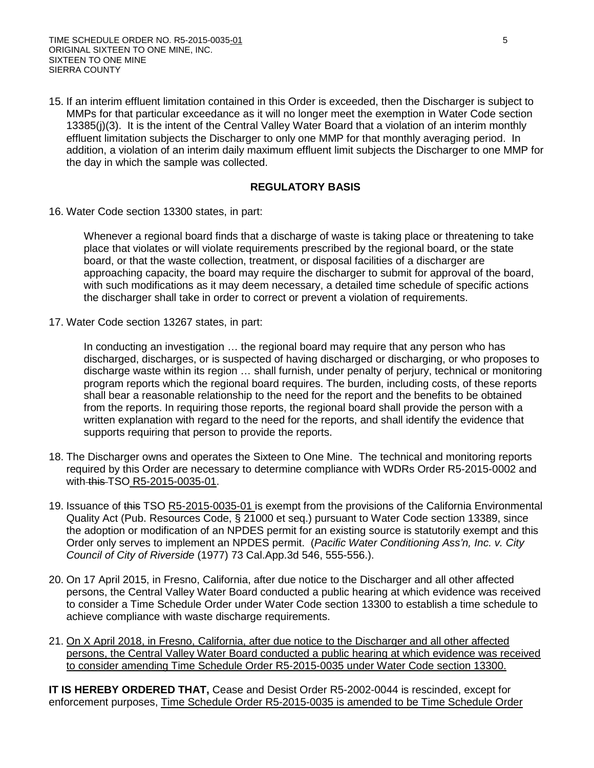15. If an interim effluent limitation contained in this Order is exceeded, then the Discharger is subject to MMPs for that particular exceedance as it will no longer meet the exemption in Water Code section 13385(j)(3). It is the intent of the Central Valley Water Board that a violation of an interim monthly effluent limitation subjects the Discharger to only one MMP for that monthly averaging period. In addition, a violation of an interim daily maximum effluent limit subjects the Discharger to one MMP for the day in which the sample was collected.

#### **REGULATORY BASIS**

16. Water Code section 13300 states, in part:

Whenever a regional board finds that a discharge of waste is taking place or threatening to take place that violates or will violate requirements prescribed by the regional board, or the state board, or that the waste collection, treatment, or disposal facilities of a discharger are approaching capacity, the board may require the discharger to submit for approval of the board, with such modifications as it may deem necessary, a detailed time schedule of specific actions the discharger shall take in order to correct or prevent a violation of requirements.

17. Water Code section 13267 states, in part:

In conducting an investigation ... the regional board may require that any person who has discharged, discharges, or is suspected of having discharged or discharging, or who proposes to discharge waste within its region … shall furnish, under penalty of perjury, technical or monitoring program reports which the regional board requires. The burden, including costs, of these reports shall bear a reasonable relationship to the need for the report and the benefits to be obtained from the reports. In requiring those reports, the regional board shall provide the person with a written explanation with regard to the need for the reports, and shall identify the evidence that supports requiring that person to provide the reports.

- 18. The Discharger owns and operates the Sixteen to One Mine. The technical and monitoring reports required by this Order are necessary to determine compliance with WDRs Order R5-2015-0002 and with this TSO R5-2015-0035-01.
- 19. Issuance of this TSO R5-2015-0035-01 is exempt from the provisions of the California Environmental Quality Act (Pub. Resources Code, § 21000 et seq.) pursuant to Water Code section 13389, since the adoption or modification of an NPDES permit for an existing source is statutorily exempt and this Order only serves to implement an NPDES permit. (*Pacific Water Conditioning Ass'n, Inc. v. City Council of City of Riverside* (1977) 73 Cal.App.3d 546, 555-556.).
- 20. On 17 April 2015, in Fresno, California, after due notice to the Discharger and all other affected persons, the Central Valley Water Board conducted a public hearing at which evidence was received to consider a Time Schedule Order under Water Code section 13300 to establish a time schedule to achieve compliance with waste discharge requirements.
- 21. On X April 2018, in Fresno, California, after due notice to the Discharger and all other affected persons, the Central Valley Water Board conducted a public hearing at which evidence was received to consider amending Time Schedule Order R5-2015-0035 under Water Code section 13300.

**IT IS HEREBY ORDERED THAT,** Cease and Desist Order R5-2002-0044 is rescinded, except for enforcement purposes, Time Schedule Order R5-2015-0035 is amended to be Time Schedule Order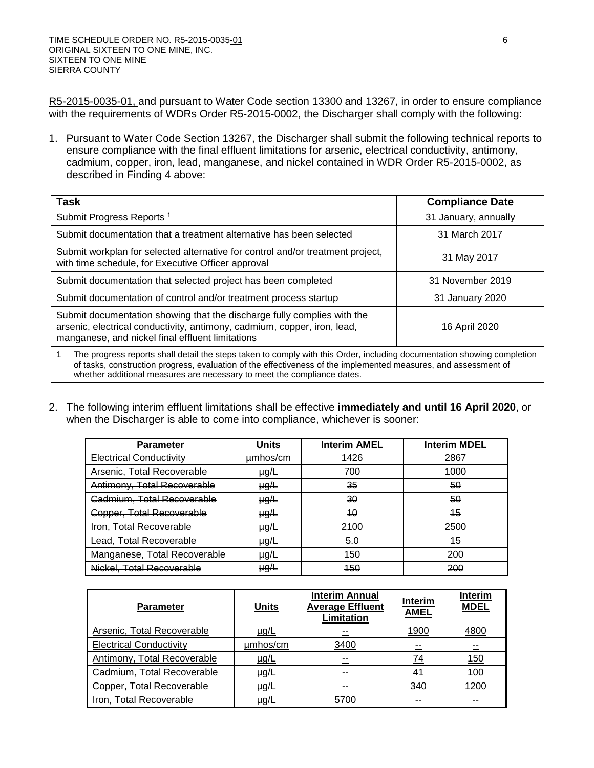R5-2015-0035-01, and pursuant to Water Code section 13300 and 13267, in order to ensure compliance with the requirements of WDRs Order R5-2015-0002, the Discharger shall comply with the following:

1. Pursuant to Water Code Section 13267, the Discharger shall submit the following technical reports to ensure compliance with the final effluent limitations for arsenic, electrical conductivity, antimony, cadmium, copper, iron, lead, manganese, and nickel contained in WDR Order R5-2015-0002, as described in Finding 4 above:

| <b>Task</b>                                                                                                                                                                                                                                                                                                           | <b>Compliance Date</b> |
|-----------------------------------------------------------------------------------------------------------------------------------------------------------------------------------------------------------------------------------------------------------------------------------------------------------------------|------------------------|
| Submit Progress Reports <sup>1</sup>                                                                                                                                                                                                                                                                                  | 31 January, annually   |
| Submit documentation that a treatment alternative has been selected                                                                                                                                                                                                                                                   | 31 March 2017          |
| Submit workplan for selected alternative for control and/or treatment project,<br>with time schedule, for Executive Officer approval                                                                                                                                                                                  | 31 May 2017            |
| Submit documentation that selected project has been completed                                                                                                                                                                                                                                                         | 31 November 2019       |
| Submit documentation of control and/or treatment process startup                                                                                                                                                                                                                                                      | 31 January 2020        |
| Submit documentation showing that the discharge fully complies with the<br>arsenic, electrical conductivity, antimony, cadmium, copper, iron, lead,<br>manganese, and nickel final effluent limitations                                                                                                               | 16 April 2020          |
| The progress reports shall detail the steps taken to comply with this Order, including documentation showing completion<br>of tasks, construction progress, evaluation of the effectiveness of the implemented measures, and assessment of<br>whether additional measures are necessary to meet the compliance dates. |                        |

2. The following interim effluent limitations shall be effective **immediately and until 16 April 2020**, or when the Discharger is able to come into compliance, whichever is sooner:

| <u>Parameter</u>               | Units               | <b>Interim AMEL</b> | <b>Interim MDEL</b> |
|--------------------------------|---------------------|---------------------|---------------------|
| <b>Electrical Conductivity</b> | <del>umhos/cm</del> | 1426                | 2867                |
| Arsenic, Total Recoverable     | <del>µg/L</del>     | 700                 | 4000                |
| Antimony, Total Recoverable    | µg⁄L                | 35                  | 50                  |
| Cadmium, Total Recoverable     | <del>µg/L</del>     | 30                  | 50                  |
| Copper, Total Recoverable      | <del>µg/L</del>     | 40                  | 45                  |
| <b>Iron, Total Recoverable</b> | <del>µg/L</del>     | 2100                | 2500                |
| Lead, Total Recoverable        | <del>µg/L</del>     | 5.0                 | 45                  |
| Manganese, Total Recoverable   | <del>µg/L</del>     | 450                 | 200                 |
| Nickel, Total Recoverable      | <del>µg/L</del>     | 450                 | 200                 |

| <b>Parameter</b>               | <b>Units</b> | <b>Interim Annual</b><br><b>Average Effluent</b><br>Limitation | <b>Interim</b><br><b>AMEL</b> | <b>Interim</b><br><b>MDEL</b> |
|--------------------------------|--------------|----------------------------------------------------------------|-------------------------------|-------------------------------|
| Arsenic, Total Recoverable     | <u>µg/L</u>  |                                                                | 1900                          | 4800                          |
| <b>Electrical Conductivity</b> | umhos/cm     | 3400                                                           |                               |                               |
| Antimony, Total Recoverable    | <u>µg/L</u>  |                                                                | 74                            | 150                           |
| Cadmium, Total Recoverable     | $\mu$ g/L    |                                                                | <u>41</u>                     | <u>100</u>                    |
| Copper, Total Recoverable      | <u>µg/L</u>  |                                                                | 340                           | 1200                          |
| Iron, Total Recoverable        | µg/L         | 5700                                                           |                               |                               |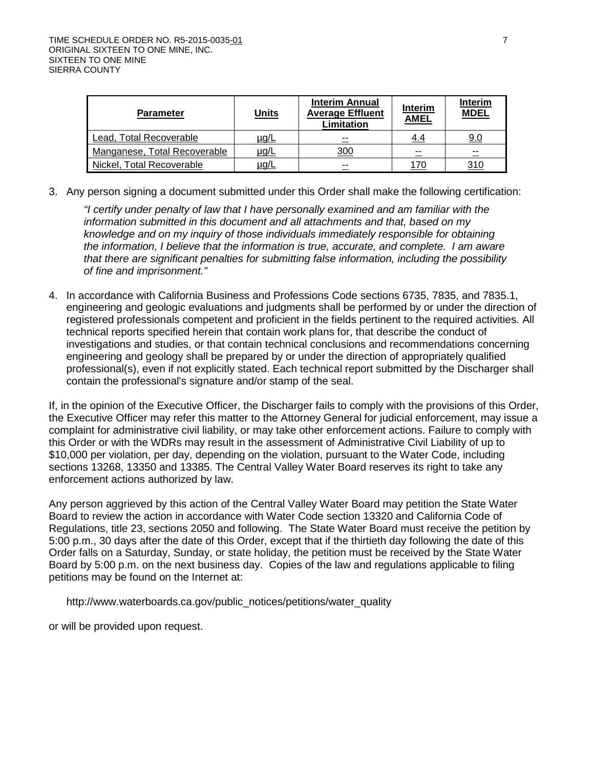| <b>Parameter</b>             | <b>Units</b> | <b>Interim Annual</b><br><b>Average Effluent</b><br>Limitation | Interim<br><b>AMEL</b> | <b>Interim</b><br><b>MDEL</b> |
|------------------------------|--------------|----------------------------------------------------------------|------------------------|-------------------------------|
| Lead, Total Recoverable      | <u>µg/L</u>  | $- -$                                                          | 4.4                    | 9.0                           |
| Manganese, Total Recoverable | <u>µg/L</u>  | 300                                                            | $- -$                  | --                            |
| Nickel, Total Recoverable    | ug/L         | $- -$                                                          |                        | 310                           |

3. Any person signing a document submitted under this Order shall make the following certification:

*"I certify under penalty of law that I have personally examined and am familiar with the information submitted in this document and all attachments and that, based on my knowledge and on my inquiry of those individuals immediately responsible for obtaining the information, I believe that the information is true, accurate, and complete. I am aware that there are significant penalties for submitting false information, including the possibility of fine and imprisonment."*

4. In accordance with California Business and Professions Code sections 6735, 7835, and 7835.1, engineering and geologic evaluations and judgments shall be performed by or under the direction of registered professionals competent and proficient in the fields pertinent to the required activities. All technical reports specified herein that contain work plans for, that describe the conduct of investigations and studies, or that contain technical conclusions and recommendations concerning engineering and geology shall be prepared by or under the direction of appropriately qualified professional(s), even if not explicitly stated. Each technical report submitted by the Discharger shall contain the professional's signature and/or stamp of the seal.

If, in the opinion of the Executive Officer, the Discharger fails to comply with the provisions of this Order, the Executive Officer may refer this matter to the Attorney General for judicial enforcement, may issue a complaint for administrative civil liability, or may take other enforcement actions. Failure to comply with this Order or with the WDRs may result in the assessment of Administrative Civil Liability of up to \$10,000 per violation, per day, depending on the violation, pursuant to the Water Code, including sections 13268, 13350 and 13385. The Central Valley Water Board reserves its right to take any enforcement actions authorized by law.

Any person aggrieved by this action of the Central Valley Water Board may petition the State Water Board to review the action in accordance with Water Code section 13320 and California Code of Regulations, title 23, sections 2050 and following. The State Water Board must receive the petition by 5:00 p.m., 30 days after the date of this Order, except that if the thirtieth day following the date of this Order falls on a Saturday, Sunday, or state holiday, the petition must be received by the State Water Board by 5:00 p.m. on the next business day. Copies of the law and regulations applicable to filing petitions may be found on the Internet at:

[http://www.waterboards.ca.gov/public\\_notices/petitions/water\\_quality](http://www.waterboards.ca.gov/public_notices/petitions/water_quality)

or will be provided upon request.